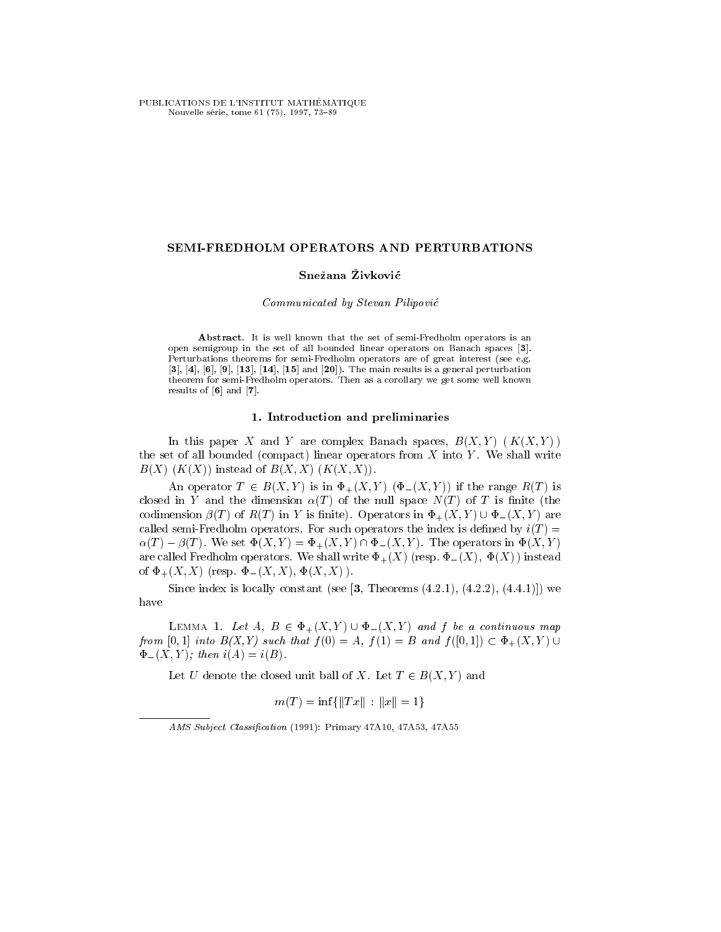PUBLICATIONS DE L'INSTITUT MATHÉMATIQUE Nouvelle série, tome 61 (75), 1997, 73-89

### SEMI-FREDHOLM OPERATORS AND PERTURBATIONS

# Snežana Živković

## Communicated by Stevan Pilipovic

Abstract. It is well known that the set of semi-Fredholm operators is an open semigroup in the set of all bounded linear operators on Banach spaces [3]. Perturbations theorems for semi-Fredholm operators are of great interest (see e.g.  $[3], [4], [6], [9], [13], [14], [15]$  and  $[20]$ ). The main results is a general perturbation theorem for semi-Fredholm operators. Then as a corollary we get some well known results of [6] and [7].

### 1. Introduction and preliminaries

In this paper X and Y are complex Banach spaces,  $B(X, Y)$   $(K(X, Y))$ the set of all bounded (compact) linear operators from  $X$  into  $Y$ . We shall write  $B(X)$   $(K(X))$  instead of  $B(X, X)$   $(K(X, X))$ .

An operator  $T \in B(X,Y)$  is in  $\Phi_+(X,Y)$   $(\Phi_-(X,Y))$  if the range  $R(T)$  is closed in Y and the dimension  $\alpha(T)$  of the null space  $N(T)$  of T is finite (the codimension  $\beta(T)$  of  $R(T)$  in Y is finite). Operators in  $\Phi_+(X,Y) \cup \Phi_-(X,Y)$  are called semi-Fredholm operators. For such operators the index is defined by  $i(T)$  =  $\alpha(T) - \beta(T)$ . We set  $\Phi(X, Y) = \Phi_+(X, Y) \cap \Phi_-(X, Y)$ . The operators in  $\Phi(X, Y)$ . are called Fredholm operators. We shall write  $\Phi_+(X)$  (resp.  $\Phi_-(X), \Phi(X)$ ) instead of  $\Phi_{+}(X, X)$  (resp.  $\Phi_{-}(X, X)$ ,  $\Phi(X, X)$ ).

Since index is locally constant (see  $\left[3, \text{Theorems } (4.2.1), (4.2.2), (4.4.1)\right]$ ) we have

LEMMA 1. Let  $A, B \in \Phi_+(X, Y) \cup \Phi_-(X, Y)$  and f be a continuous map from [0, 1] into  $D(X, I)$  such that  $f(0) = A$ ,  $f(1) = D$  and  $f(0, 1) \subset \mathcal{X}$   $+ (X, I)$   $\cup$  $\Phi_{-}(X,Y)$ ; then  $i(A) = i(B)$ .

Let U denote the closed unit ball of X. Let  $T \in B(X, Y)$  and

$$
m(T) = \inf \{ ||Tx|| : ||x|| = 1 \}
$$

AMS Subject Classification (1991): Primary 47A10, 47A53, 47A55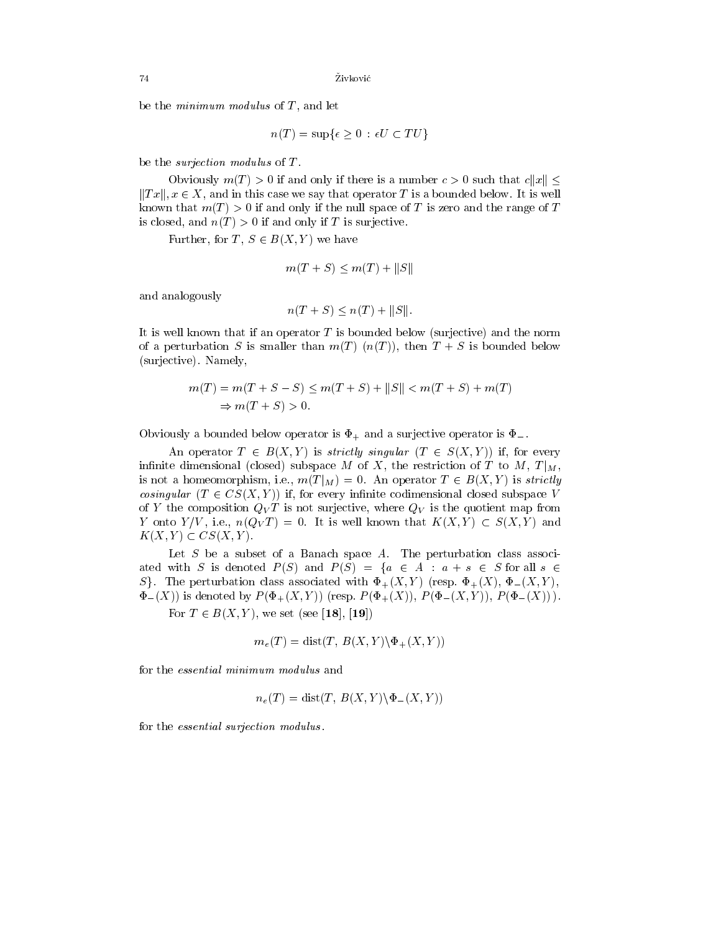be the *minimum modulus* of  $T$ , and let

 $n(T) = \sup\{\epsilon \geq 0 : \epsilon U \subset TU\}$ 

be the surjection modulus of T .

Obviously  $m(T) > 0$  if and only if there is a number  $c > 0$  such that  $c||x|| <$  $||Tx||, x \in X$ , and in this case we say that operator T is a bounded below. It is well known that  $m(T) > 0$  if and only if the null space of T is zero and the range of T is closed, and  $n(T) > 0$  if and only if T is surjective.

Further, for  $T, S \in B(X, Y)$  we have

$$
m(T+S) \le m(T) + ||S||
$$

and analogously

$$
n(T + S) \le n(T) + ||S||.
$$

It is well known that if an operator  $T$  is bounded below (surjective) and the norm of a perturbation S is smaller than  $m(T)$   $(n(T))$ , then  $T + S$  is bounded below (surjective). Namely,

$$
m(T) = m(T + S - S) \le m(T + S) + ||S|| < m(T + S) + m(T)
$$
  
\n
$$
\Rightarrow m(T + S) > 0.
$$

Obviously a bounded below operator is  $\Phi_+$  and a surjective operator is  $\Phi_-$ .

An operator  $T \in B(X, Y)$  is strictly singular  $(T \in S(X, Y))$  if, for every infinite dimensional (closed) subspace M of X, the restriction of T to M,  $T|_M$ , is not a homeomorphism, i.e.,  $m(T|_M) = 0$ . An operator  $T \in B(X, Y)$  is strictly cosingular (T 2 CS) (FF) if, for every interesting completed subspace very interesting subspace V of Y the composition  $Q_V T$  is not surjective, where  $Q_V$  is the quotient map from Y onto  $Y/V$ , i.e.,  $n(Q_V T) = 0$ . It is well known that  $K(X,Y) \subset S(X,Y)$  and  $K(X,Y) \subset CS(X,Y)$ .

Let  $S$  be a subset of a Banach space  $A$ . The perturbation class associated with S is denoted  $P(S)$  and  $P(S) = \{a \in A : a + s \in S \text{ for all } s \in \mathbb{R} \}$ S. The perturbation class associated with  $\Phi_{+}(X,Y)$  (resp.  $\Phi_{+}(X), \Phi_{-}(X,Y)$ ;  $\Phi_{-}(X)$ ) is denoted by  $P(\Phi_{+}(X,Y))$  (resp.  $P(\Phi_{+}(X)), P(\Phi_{-}(X,Y)), P(\Phi_{-}(X)))$ .

For  $T \in B(X, Y)$ , we set (see [18], [19])

$$
m_e(T) = \text{dist}(T, B(X, Y) \setminus \Phi_+(X, Y))
$$

for the essential minimum modulus and

$$
n_e(T) = \text{dist}(T, B(X, Y) \setminus \Phi_-(X, Y))
$$

for the essential surjection modulus .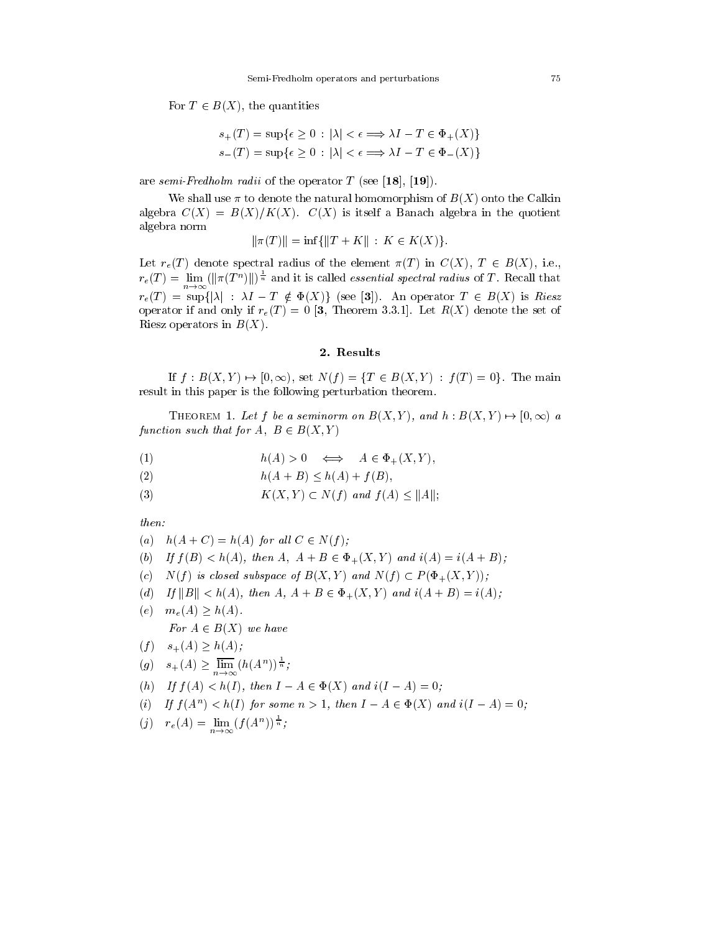For  $T \in B(X)$ , the quantities

$$
s_{+}(T) = \sup \{ \epsilon \ge 0 : |\lambda| < \epsilon \Longrightarrow \lambda I - T \in \Phi_{+}(X) \}
$$
\n
$$
s_{-}(T) = \sup \{ \epsilon \ge 0 : |\lambda| < \epsilon \Longrightarrow \lambda I - T \in \Phi_{-}(X) \}
$$

are semi-Fredholm radii of the operator  $T$  (see [18], [19]).

We shall use  $\pi$  to denote the natural homomorphism of  $B(X)$  onto the Calkin algebra  $C(X) = B(X)/K(X)$ .  $C(X)$  is itself a Banach algebra in the quotient algebra norm

$$
\|\pi(T)\| = \inf\{\|T + K\| : K \in K(X)\}.
$$

Let  $r_e(T)$  denote spectral radius of the element  $\pi(T)$  in  $C(X)$ ,  $T \in B(X)$ , i.e.,  $r_e(T) = \lim_{n \to \infty} (||\pi(T^n)||)^{\frac{1}{n}}$  and it is called *essential spectral radius* of T. Recall that  $n \rightarrow \infty$ requested to suppress the support  $\mathbb{F}_q$  , the function  $\mathbb{F}_q$  is  $\mathbb{F}_q$  is the function of  $\mathbb{F}_q$ operator if and only if  $r_e(T) = 0$  [3, Theorem 3.3.1]. Let  $R(X)$  denote the set of Riesz operators in  $B(X)$ .

If  $f : B(X, Y) \to [0, \infty)$ , set  $N(f) = \{T \in B(X, Y) : f(T) = 0\}$ . The main result in this paper is the following perturbation theorem.

THEOREM 1. Let f be a seminorm on  $B(X,Y)$ , and  $h : B(X,Y) \mapsto [0,\infty)$  a function such that for  $A$ ;  $B \in B(X; Y)$ 

- (1)  $h(A) > 0 \iff A \in \Phi_+(X,Y)$ ,
- (2)  $h(A + B) \le h(A) + f(B)$ ,
- (3)  $K(X,Y) \subset N(f)$  and  $f(A) \leq ||A||;$

then:

- (a)  $h(A+C) = h(A)$  for all  $C \in N(f)$ ;
- (b) If  $f(B) < h(A)$ , then  $A, A + B \in \Phi_+(X, Y)$  and  $i(A) = i(A + B)$ ;
- (c)  $N(f)$  is closed subspace of  $B(X,Y)$  and  $N(f) \subset P(\Phi_+(X,Y));$
- (d) If  $||B|| < h(A)$ , then  $A, A + B \in \Phi_+(X, Y)$  and  $i(A + B) = i(A);$
- (e)  $m_e(A) \ge h(A)$ . For  $A \in D(X)$  we have
- $(f)$   $s_+(A) \geq h(A);$

$$
(g) \quad s_+(A) \ge \lim_{n \to \infty} (h(A^n))^{\frac{1}{n}};
$$

- (h) If  $f(A) < h(I)$ , then  $I A \in \Phi(X)$  and  $i(I A) = 0$ ;
- (i) If  $f(A) \leq h(1)$  for some  $n \geq 1$ , then  $I = A \in \Psi(A)$  and  $i(I = A) \equiv 0$ ;
- $f(j)$   $r_e(A) = \lim_{n \to \infty} (f(A^n))^{\frac{1}{n}};$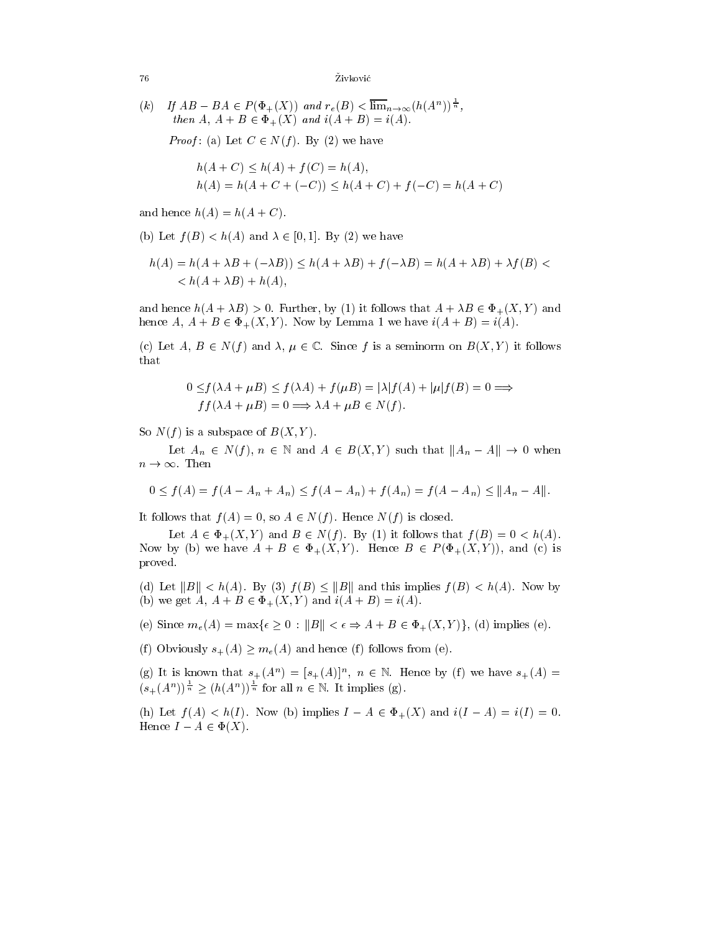(k) If 
$$
AB - BA \in P(\Phi_+(X))
$$
 and  $r_e(B) < \overline{\lim}_{n \to \infty} (h(A^n))^{\frac{1}{n}}$ ,  
then  $A, A + B \in \Phi_+(X)$  and  $i(A + B) = i(A)$ .

 $P$  . (a)  $P$  and  $P$  is the set  $P$  and  $P$  and  $P$  and  $P$  is the set of  $P$ 

$$
h(A + C) \le h(A) + f(C) = h(A),
$$
  
\n
$$
h(A) = h(A + C + (-C)) \le h(A + C) + f(-C) = h(A + C)
$$

and hence  $h(A) = h(A + C)$ .

(b) Let  $f(B) < h(A)$  and  $\lambda \in [0, 1]$ . By (2) we have

$$
h(A) = h(A + \lambda B + (-\lambda B)) \le h(A + \lambda B) + f(-\lambda B) = h(A + \lambda B) + \lambda f(B) < \\
\lt h(A + \lambda B) + h(A),
$$

and hence  $h(A + \lambda B) > 0$ . Further, by (1) it follows that  $A + \lambda B \in \Phi_+(X,Y)$  and hence  $A, A + B \in \Phi_+(X, Y)$ . Now by Lemma 1 we have  $i(A + B) = i(A)$ .

(c) Let  $A, B \in N(f)$  and  $\lambda, \mu \in \mathbb{C}$ . Since f is a seminorm on  $B(X, Y)$  it follows that

$$
0 \le f(\lambda A + \mu B) \le f(\lambda A) + f(\mu B) = |\lambda|f(A) + |\mu|f(B) = 0 \Longrightarrow
$$
  

$$
f f(\lambda A + \mu B) = 0 \Longrightarrow \lambda A + \mu B \in N(f).
$$

So  $N(f)$  is a subspace of  $B(X,Y)$ .

Let  $A_n \in N(f)$ ,  $n \in \mathbb{N}$  and  $A \in B(X, Y)$  such that  $||A_n - A|| \to 0$  when  $n \to \infty$ . Then

$$
0 \le f(A) = f(A - A_n + A_n) \le f(A - A_n) + f(A_n) = f(A - A_n) \le ||A_n - A||.
$$

It follows that  $f(A) = 0$ , so  $A \in N(f)$ . Hence  $N(f)$  is closed.

Let  $A \in \Phi_+(X, Y)$  and  $B \in N(f)$ . By (1) it follows that  $f(B)=0 < h(A)$ . Now by (b) we have  $A + B \in \Phi_+(X, Y)$ . Hence  $B \in P(\Phi_+(X, Y))$ , and (c) is proved.

(d) Let  $||B|| < h(A)$ . By (3)  $f(B) \le ||B||$  and this implies  $f(B) < h(A)$ . Now by (b) we get A,  $A + B \in \Phi_+(X, Y)$  and  $i(A + B) = i(A)$ .

(e) Since  $m_e(A) = \max\{\epsilon \geq 0 : ||B|| < \epsilon \Rightarrow A + B \in \Phi_+(X,Y)\},$  (d) implies (e).

(f) Obviously  $s_+(A) > m_e(A)$  and hence (f) follows from (e).

(g) It is known that  $s_+(A^{\prime\prime})=|s_+(A)|^{\prime\prime}$ ,  $n\in\mathbb{N}$ . Hence by (f) we have  $s_+(A)=$  $(s_{+}(A^{n}))^{\frac{1}{n}} \geq (h(A^{n}))^{\frac{1}{n}}$  for all  $n \in \mathbb{N}$ . It implies (g).

(h) Let  $f(A) < h(I)$ . Now (b) implies  $I - A \in \Phi_+(X)$  and  $i(I - A) = i(I) = 0$ . Hence  $I - A \in \Phi(X)$ .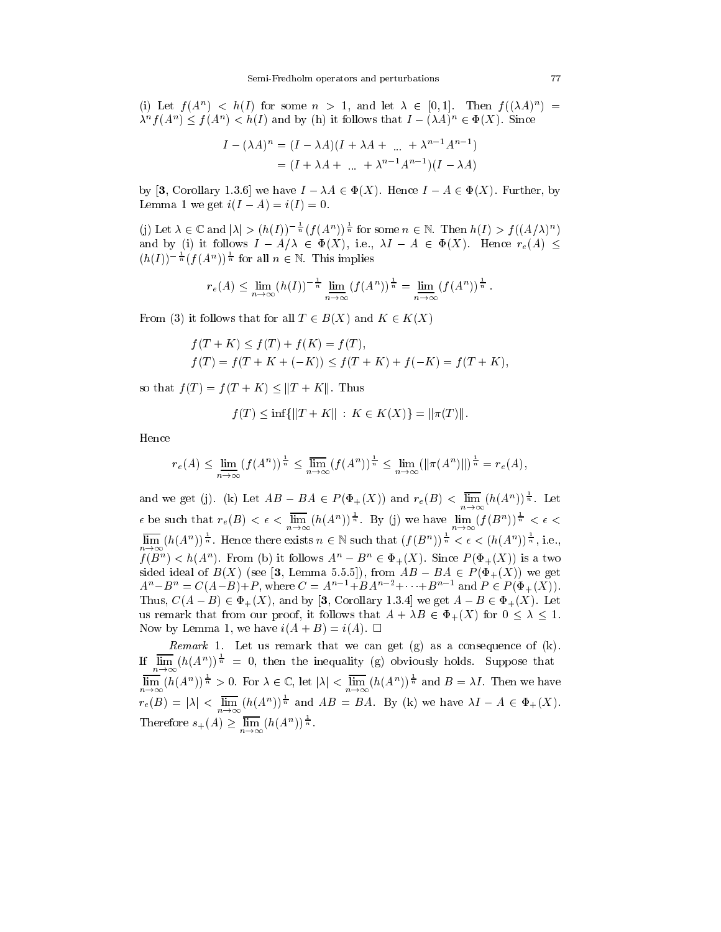(i) Let  $f(A^{\prime\prime}) \leq h(I)$  for some  $n \geq 1$ , and let  $A \in [0,1]$ . Then  $f((AA)^{\prime\prime}) =$  $\lambda^{\alpha}$  /(A<sup>n</sup>)  $\leq$  /(A<sup>n</sup>)  $\leq$  *h*(*I*) and by (ii) it follows that  $I = (\lambda A)^{n} \in \Psi(\Lambda)$ . Since

$$
I - (\lambda A)^n = (I - \lambda A)(I + \lambda A + \dots + \lambda^{n-1} A^{n-1})
$$
  
=  $(I + \lambda A + \dots + \lambda^{n-1} A^{n-1})(I - \lambda A)$ 

by [3, Corollary 1.3.6] we have  $I - \lambda A \in \Phi(X)$ . Hence  $I - A \in \Phi(X)$ . Further, by Lemma 1 we get  $i(I - A) = i(I) = 0$ .

(i) Let  $\lambda \in \mathbb{C}$  and  $|\lambda| > (h(I))^{\overline{n}} f(f(A^n))^{\overline{n}}$  for some  $n \in \mathbb{N}$ . Then  $h(I) > f((A/\lambda)^n)$ and by (i) it follows  $I - A/\lambda \in \Phi(X)$ , i.e.,  $\lambda I - A \in \Phi(X)$ . Hence  $r_e(A) \leq$  $(h(I))^{-\frac{1}{n}}(f(A^n))^{\frac{1}{n}}$  for all  $n \in \mathbb{N}$ . This implies

$$
r_e(A) \le \lim_{n \to \infty} (h(I))^{-\frac{1}{n}} \lim_{n \to \infty} (f(A^n))^{\frac{1}{n}} = \lim_{n \to \infty} (f(A^n))^{\frac{1}{n}}.
$$

From (3) it follows that for all  $T \in B(X)$  and  $K \in K(X)$ 

$$
f(T+K) \le f(T) + f(K) = f(T),
$$
  
 
$$
f(T) = f(T+K+(-K)) \le f(T+K) + f(-K) = f(T+K),
$$

so that  $f(T) = f(T + K) \le ||T + K||$ . Thus

$$
f(T) \le \inf \{ ||T + K|| : K \in K(X) \} = ||\pi(T)||.
$$

Hence

$$
r_e(A) \le \lim_{n \to \infty} (f(A^n))^{\frac{1}{n}} \le \lim_{n \to \infty} (f(A^n))^{\frac{1}{n}} \le \lim_{n \to \infty} (\|\pi(A^n)\|)^{\frac{1}{n}} = r_e(A),
$$

and we get (j). (k) Let  $AB - BA \in P(\Phi_+(X))$  and  $r_e(B) < \lim_{n \to \infty} (h(A^n))^{\frac{1}{n}}$ . Let  $\epsilon$  be such that  $r_e(B) < \epsilon < \lim_{n \to \infty} (h(A^n))^{\frac{1}{n}}$ . By (j) we have  $\lim_{n \to \infty} (f(B^n))^{\frac{1}{n}} < \epsilon$  $\lim_{n\to\infty} (h(A^n))^{\frac{1}{n}}$ . Hence there exists  $n\in\mathbb{N}$  such that  $(f(B^n))^{\frac{1}{n}} < \epsilon < (h(A^n))^{\frac{1}{n}}$ , i.e.,  $f(D^{\circ}) \leq h(A^{\circ})$ . From (b) it follows  $A^{\circ} = D^{\circ} \in \Psi_+(A)$ . Since  $F(\Psi_+(A))$  is a two sided ideal of  $B(X)$  (see [3, Lemma 5.5.5]), from  $AB - BA \in P(\Phi_+(X))$  we get  $A^{n}-B^{n} = C(A-B)+P$ , where  $C = A^{n-1}+BA^{n-2}+\cdots+B^{n-1}$  and  $P \in P(\Phi_{+}(X)).$ Thus,  $C(A - B) \in \Phi_+(X)$ , and by [3, Corollary 1.3.4] we get  $A - B \in \Phi_+(X)$ . Let us remark that from our proof, it follows that  $A + \lambda B \in \Phi_+(X)$  for  $0 \leq \lambda \leq 1$ . Now by Lemma 1, we have  $i(A + B) = i(A)$ .  $\Box$ 

Remark 1. Let us remark that we can get (g) as a consequence of (k). If  $\lim_{h \to 0} (h(A^n))^{\frac{1}{n}} = 0$ , then the inequality (g) obviously holds. Suppose that  $n \rightarrow \infty$  $\lim_{n\to\infty} (h(A^n))^{\frac{1}{n}} > 0$ . For  $\lambda \in \mathbb{C}$ , let  $|\lambda| < \lim_{n\to\infty} (h(A^n))^{\frac{1}{n}}$  and  $B = \lambda I$ . Then we have  $r_e(B) = |\lambda| < \lim_{n \to \infty} (h(A^n))^{\frac{1}{n}}$  and  $AB = BA$ . By (k) we have  $\lambda I - A \in \Phi_+(X)$ . Therefore  $s_+(A) \geq \lim_{n \to \infty} (h(A^n))^{\frac{1}{n}}$ .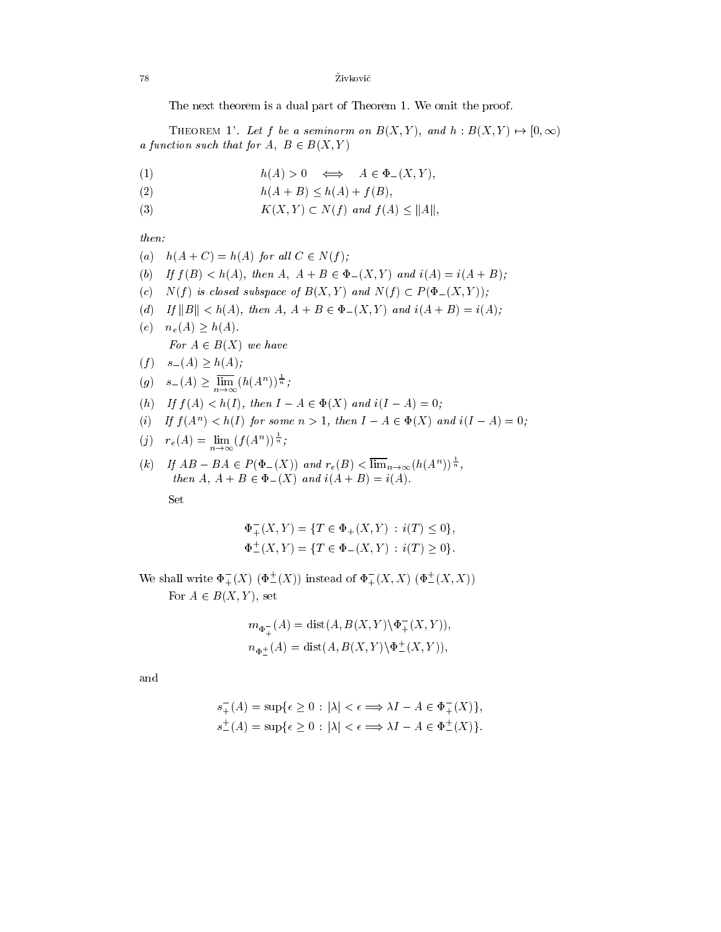78 Zivk ovic

The next theorem is a dual part of Theorem 1. We omit the proof.

THEOREM 1'. Let f be a seminorm on  $B(X, Y)$ , and  $h : B(X, Y) \mapsto [0, \infty)$ a function such that for  $A, B \in B(X, I)$ 

- (1)  $h(A) > 0 \iff A \in \Phi_-(X, Y),$
- (2)  $h(A + B) \le h(A) + f(B)$ ,
- (3)  $K(X,Y) \subset N(f)$  and  $f(A) \leq ||A||$ ,

then:

- (a)  $h(A+C) = h(A)$  for all  $C \in N(f)$ ;
- (b) If  $f(B) < h(A)$ , then  $A, A + B \in \Phi_-(X, Y)$  and  $i(A) = i(A + B)$ ;
- (c)  $N(f)$  is closed subspace of  $B(X,Y)$  and  $N(f) \subset P(\Phi_{-}(X,Y));$
- (d) If  $||B|| < h(A)$ , then  $A, A + B \in \Phi_-(X, Y)$  and  $i(A + B) = i(A);$
- (e)  $n_e(A) \ge h(A)$ . For  $A \in D(X)$  we have
- $(f) \t s_{-}(A) \geq h(A);$
- $(g)$   $s_-(A) \geq \lim_{n \to \infty} (h(A^n))^{\frac{1}{n}};$
- (h) If  $f(A) < h(I)$ , then  $I A \in \Phi(X)$  and  $i(I A) = 0$ ;
- (i) If  $f(A) \leq h(1)$  for some  $n \geq 1$ , then  $I = A \in \Psi(A)$  and  $i(I = A) \equiv 0$ ;

$$
(j) \quad r_e(A) = \lim_{n \to \infty} (f(A^n))^{\frac{1}{n}};
$$

 $(k)$  If  $AB - BA \in P(\Phi_-(X))$  and  $r_e(B) < \lim_{n \to \infty} (h(A^n))^{\frac{1}{n}}$ , then  $\mathcal{L}$  and  $\mathcal{L}$  and  $\mathcal{L}$  and if  $\mathcal{L}$  and if  $\mathcal{L}$  and if  $\mathcal{L}$ 

Set

$$
\Phi_{+}^{-}(X,Y) = \{ T \in \Phi_{+}(X,Y) : i(T) \le 0 \},
$$
  

$$
\Phi_{-}^{+}(X,Y) = \{ T \in \Phi_{-}(X,Y) : i(T) \ge 0 \}.
$$

We shall write  $\Phi^-_+(X)$   $(\Phi^+_-(X))$  instead of  $\Phi^-_+(X,X)$   $(\Phi^+_-(X,X))$ For  $A \in B(X, Y)$ , set

$$
m_{\Phi_+^-(A)} = \text{dist}(A, B(X, Y) \setminus \Phi_+^-(X, Y)),
$$
  

$$
n_{\Phi_-^+(A)} = \text{dist}(A, B(X, Y) \setminus \Phi_-^+(X, Y)),
$$

and

$$
s_{+}^{-}(A) = \sup \{ \epsilon \ge 0 : |\lambda| < \epsilon \Longrightarrow \lambda I - A \in \Phi_{+}^{-}(X) \},
$$
  

$$
s_{-}^{+}(A) = \sup \{ \epsilon \ge 0 : |\lambda| < \epsilon \Longrightarrow \lambda I - A \in \Phi_{-}^{+}(X) \}.
$$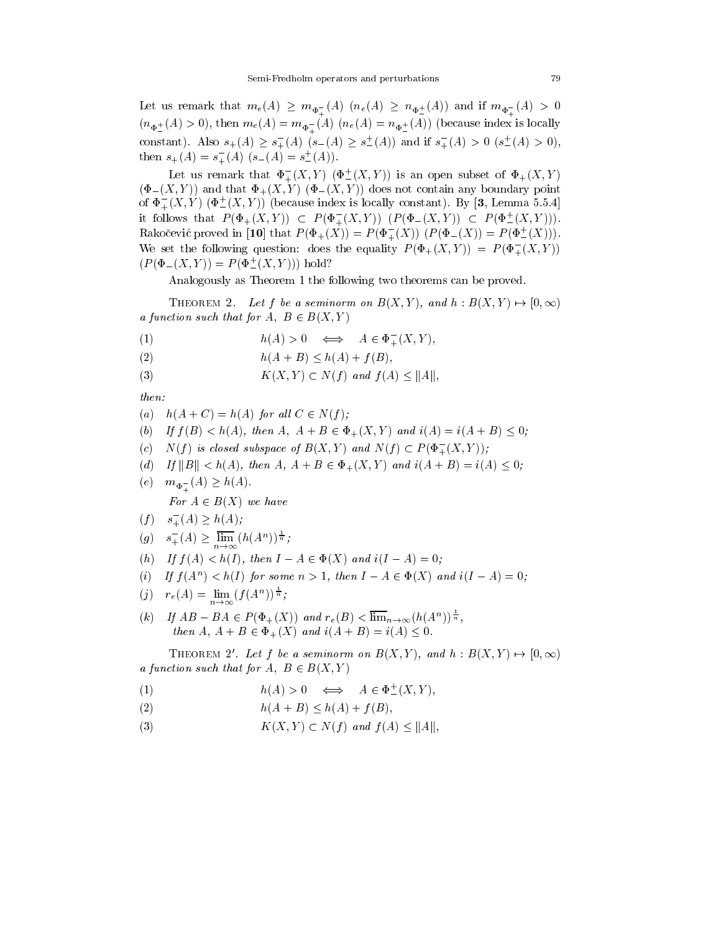$\Gamma_{\rm eff}$  remarks that me(A)  $\Gamma_{\rm eff}$  (A)  $\Lambda_{\rm eff}$  (A) (ne(A))  $\Gamma_{\rm eff}$  (A)) and if map  $\Phi_{+}$  (A)) and if map  $\Phi_{+}$ <sup>+</sup> <sup>+</sup>  $(\mathbf{A}^{\mathbf{p}})^{(2)}$  ,  $(\mathbf{A}^{\mathbf{p}})^{(2)}$  and me(A)  $\mathbf{A}^{\mathbf{p}}$  ( $(\mathbf{A}^{\mathbf{p}})^{(2)}$  ( $(\mathbf{A}^{\mathbf{p}})^{(2)}$  (because index is locally the contract of the contract of the contract of the contract of the contract of the contract of the contract of constant). Also  $s_{+}(A) \geq s_{+}(A)$   $(s_{-}(A) \geq s_{-}(A))$  and if  $s_{+}(A) > 0$   $(s_{-}(A) > 0)$ , then  $s_+(A) = s_+(A)$   $(s_-(A) = s_-(A))$ .

Let us remark that  $\Phi_+^-(X,Y)$   $(\Phi_-^-(X,Y))$  is an open subset of  $\Phi_+(X,Y)$  $(\Phi_{-}(X,Y))$  and that  $\Phi_{+}(X,Y)$   $(\Phi_{-}(X,Y))$  does not contain any boundary point of  $\Phi_+^-(X,Y)$  ( $\Phi_-^-(X,Y)$ ) (because index is locally constant). By [3, Lemma 5.5.4] it follows that  $P(\Phi_+(X,Y)) \subset P(\Phi_+(X,Y))$   $(P(\Phi_-(X,Y)) \subset P(\Phi_-(X,Y))).$ Rakočević proved in [10] that  $P(\Phi_+(X)) = P(\Phi_+(X))$   $(P(\Phi_-(X)) = P(\Phi_-(X)))$ . We set the following question: does the equality  $P(\Phi_+(X,Y)) = P(\Phi_+(X,Y))$  $(P(\Phi_{-}(X,Y)) = P(\Phi_{-}^{+}(X,Y)))$  hold?

Analogously as Theorem 1 the following two theorems can be proved.

THEOREM 2. Let f be a seminorm on  $B(X,Y)$ , and  $h : B(X,Y) \mapsto [0,\infty)$ a function such that for  $A, B \in B(A, I)$ 

- $h(A) > 0 \iff A \in \Phi_+^-(X, Y),$ (1)
- (2)  $h(A + B) < h(A) + f(B)$ ;
- (3)  $K(X,Y) \subset N(f)$  and  $f(A) \leq ||A||$ ,

 $then.$ 

- (a)  $h(A+C) = h(A)$  for all  $C \in N(f)$ ;
- (b) If  $f(B) < h(A)$ , then  $A, A + B \in \Phi_+(X, Y)$  and  $i(A) = i(A + B) \leq 0$ ;
- (c)  $N(f)$  is closed subspace of  $B(X,Y)$  and  $N(f) \subset P(\Phi_{+}^{-}(X,Y));$
- (d) If  $||B|| < h(A)$ , then  $A, A + B \in \Phi_+(X, Y)$  and  $i(A + B) = i(A) \leq 0$ ;
- $(\gamma)$   $\cdots$   $(\gamma)$   $\gamma$ .  $(\gamma)$   $\gamma$ <sup>+</sup>

 $F(t)$   $A \in B(X)$  we have

- $(f)$   $s_+^-(A) \geq h(A);$
- $(g)$   $s_+^-(A) \ge \lim_{n \to \infty} (h(A^n))^{\frac{1}{n}};$
- (h) If  $f(A) < h(I)$ , then  $I A \in \Phi(X)$  and  $i(I A) = 0$ ;
- (i) If  $I(A^{\dagger}) \leq h(1)$  for some  $n > 1$ , then  $I A \in \Psi(A)$  and  $i(I A) = 0$ ;
- $f(j)$   $r_e(A) = \lim_{n \to \infty} (f(A^n))^{\frac{1}{n}};$
- $(k)$  If  $AB BA \in P(\Phi_+(X))$  and  $r_e(B) < \lim_{n \to \infty} (h(A^n))^{\frac{1}{n}}$ , then  $\mathfrak{m}$  and  $\mathfrak{m}$  are independent in  $\mathfrak{m}$  in  $\mathfrak{m}$  in  $\mathfrak{m}$  in  $\mathfrak{m}$  in  $\mathfrak{m}$  in  $\mathfrak{m}$  in  $\mathfrak{m}$  in  $\mathfrak{m}$  in  $\mathfrak{m}$  in  $\mathfrak{m}$  in  $\mathfrak{m}$  in  $\mathfrak{m}$  in  $\mathfrak{m}$  in  $\mathfr$

THEOREM 2'. Let f be a seminorm on  $B(X, Y)$ , and  $h : B(X, Y) \mapsto [0, \infty)$ a function such that for  $A$ ;  $D \in D\{X, Y\}$ 

- $h(A) > 0 \iff A \in \Psi^+(A, Y),$ (1)
- (2)  $h(A + B) \le h(A) + f(B)$ ,
- (3)  $K(X,Y) \subset N(f) \text{ and } f(A) < ||A||,$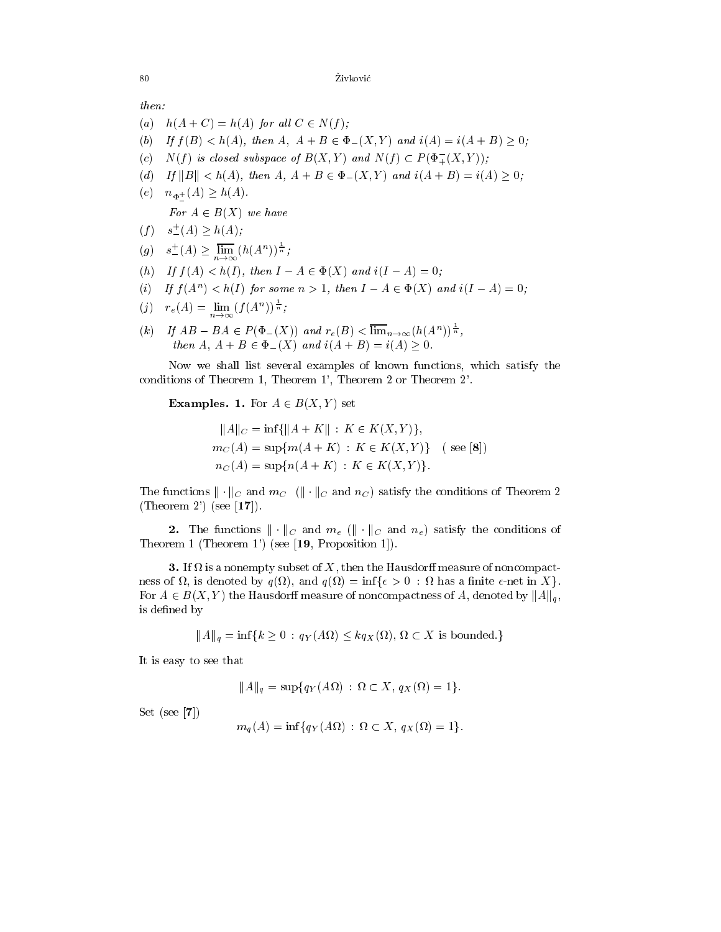then:

- (a)  $h(A+C) = h(A)$  for all  $C \in N(f)$ ;
- (b) If  $f(B) < h(A)$ , then  $A, A + B \in \Phi_-(X, Y)$  and  $i(A) = i(A + B) > 0$ ;
- (c)  $N(f)$  is closed subspace of  $B(X,Y)$  and  $N(f) \subset P(\Phi_{+}^{-}(X,Y));$
- (d) If  $||B|| < h(A)$ , then  $A, A + B \in \Phi_-(X, Y)$  and  $i(A + B) = i(A) \ge 0$ ;
- $(\circ)$   $\cdots \phi_{-}$   $(\cdot \cdot) = \cdots (\cdot \cdot)$ .

For  $A \in D(X)$  we have

- $(f)$   $s^+_{-}(A) > h(A);$
- $(g)$   $s^+_{-}(A) \geq \lim_{n \to \infty} (h(A^n))^{\frac{1}{n}};$
- (h) If  $f(A) < h(I)$ , then  $I A \in \Phi(X)$  and  $i(I A) = 0$ ;
- (i) If  $I(A^{\dagger}) \leq h(1)$  for some  $n > 1$ , then  $I A \in \Psi(A)$  and  $i(I A) = 0$ ;
- $f(j)$   $r_e(A) = \lim_{n \to \infty} (f(A^n))^{\frac{1}{n}};$
- $(k)$  If  $AB BA \in P(\Phi_-(X))$  and  $r_e(B) < \lim_{n \to \infty} (h(A^n))^{\frac{1}{n}}$ ,  $\frac{1}{2}$   $\frac{1}{2}$   $\frac{1}{2}$   $\frac{1}{2}$   $\frac{1}{2}$   $\frac{1}{2}$   $\frac{1}{2}$   $\frac{1}{2}$   $\frac{1}{2}$   $\frac{1}{2}$   $\frac{1}{2}$   $\frac{1}{2}$   $\frac{1}{2}$   $\frac{1}{2}$   $\frac{1}{2}$   $\frac{1}{2}$   $\frac{1}{2}$   $\frac{1}{2}$   $\frac{1}{2}$   $\frac{1}{2}$   $\frac{1}{2}$   $\frac{1}{2}$

Now we shall list several examples of known functions, which satisfy the conditions of Theorem 1, Theorem 1', Theorem 2 or Theorem 2'.

**Examples. 1.** For  $A \in B(X, Y)$  set

$$
||A||_C = \inf\{||A + K|| : K \in K(X, Y)\},
$$
  
\n
$$
m_C(A) = \sup\{m(A + K) : K \in K(X, Y)\} \quad (\text{see [8]})
$$
  
\n
$$
n_C(A) = \sup\{n(A + K) : K \in K(X, Y)\}.
$$

The functions  $\|\cdot\|_C$  and  $m_C$  ( $\|\cdot\|_C$  and  $n_C$ ) satisfy the conditions of Theorem 2 (Theorem 2') (see  $[17]$ ).

**2.** The functions  $\|\cdot\|_C$  and  $m_e$  ( $\|\cdot\|_C$  and  $n_e$ ) satisfy the conditions of Theorem 1 (Theorem 1') (see [19, Proposition 1]).

<u>. If a is a non-measure of the Hausdor measure of the Hausdor measure of the Hausdor measure of</u>  $\sim$ , and and  $\mathcal{A}$  and  $\mathcal{A}$  and  $\mathcal{A}$  and  $\mathcal{A}$  and  $\mathcal{A}$  and  $\mathcal{A}$  and  $\mathcal{A}$  and  $\mathcal{A}$  and  $\mathcal{A}$  and  $\mathcal{A}$  and  $\mathcal{A}$  and  $\mathcal{A}$  and  $\mathcal{A}$  and  $\mathcal{A}$  and  $\mathcal{A}$  and  $\mathcal{A}$  and  $\math$ For  $A \in B(X, Y)$  the Hausdorff measure of noncompactness of A, denoted by  $||A||_q$ , is defined by

kAkq = inffk <sup>0</sup> : qY (A ) kqX( ); X is bounded.g

It is easy to see that

$$
||A||_q = \sup\{q_Y(A\Omega) : \Omega \subset X, q_X(\Omega) = 1\}.
$$

Set (see [7])

$$
m_q(A) = \inf \{ q_Y(A\Omega) : \Omega \subset X, q_X(\Omega) = 1 \}.
$$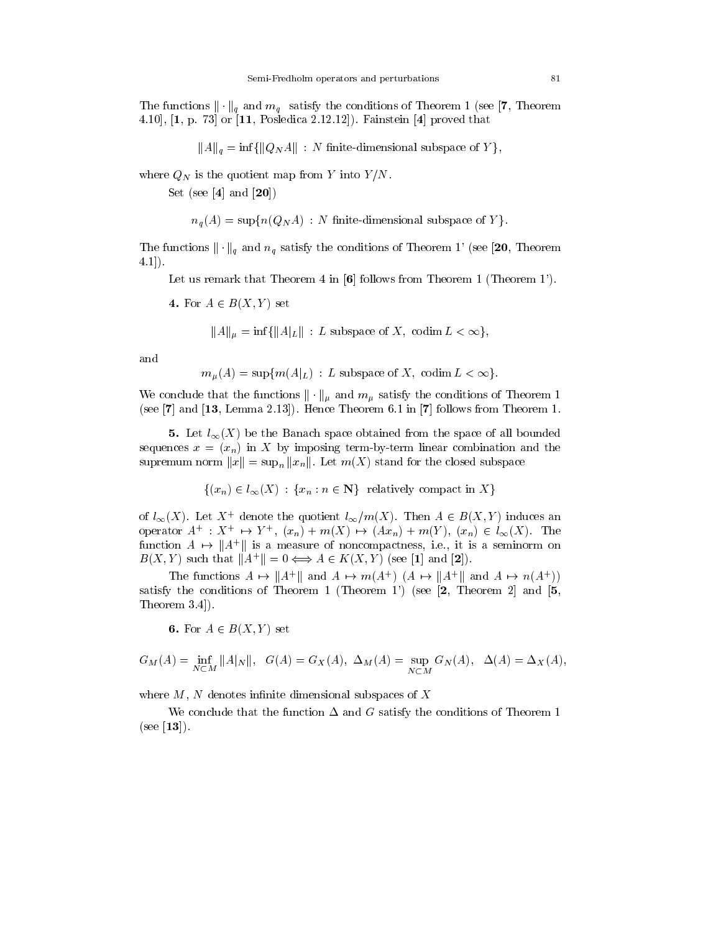The functions  $\|\cdot\|_q$  and  $m_q$  satisfy the conditions of Theorem 1 (see [7, Theorem 4.10], [1, p. 73] or [11, Posledica 2.12.12]). Fainstein [4] proved that

$$
||A||_q = \inf \{ ||Q_N A|| : N \text{ finite-dimensional subspace of } Y \},
$$

where  $Q_N$  is the quotient map from Y into  $Y/N$ .

Set (see [4] and [20])

$$
n_q(A) = \sup \{ n(Q_N A) : N \text{ finite-dimensional subspace of } Y \}.
$$

The functions  $\|\cdot\|_q$  and  $n_q$  satisfy the conditions of Theorem 1' (see [20, Theorem 4.1]).

Let us remark that Theorem 4 in [6] follows from Theorem 1 (Theorem 1').

4. For  $A \in B(X, Y)$  set

 $||A||_{\mu} = \inf \{||A|_{L}|| : L \text{ subspace of } X, \text{ codim } L < \infty \},\$ 

and

$$
m_{\mu}(A) = \sup \{m(A|_{L}) : L \text{ subspace of } X, \text{ codim } L < \infty\}.
$$

We conclude that the functions  $\|\cdot\|_{\mu}$  and  $m_{\mu}$  satisfy the conditions of Theorem 1 (see [7] and [13, Lemma 2.13]). Hence Theorem 6.1 in [7] follows from Theorem 1.

5. Let  $l_{\infty}(X)$  be the Banach space obtained from the space of all bounded sequences  $x = (x_n)$  in X by imposing term-by-term linear combination and the supremum norm  $||x|| = \sup_n ||x_n||$ . Let  $m(X)$  stand for the closed subspace

$$
\{(x_n) \in l_\infty(X) : \{x_n : n \in \mathbb{N}\} \text{ relatively compact in } X\}
$$

of  $l_{\infty}(\Lambda)$ . Let  $\Lambda$  denote the quotient  $l_{\infty}/m(\Lambda)$ . Then  $A \in B(\Lambda, Y)$  induces an operator  $A \rightarrow X \rightarrow Y$ ,  $(x_n) + m(\Lambda) \rightarrow (Ax_n) + m(Y), (x_n) \in \ell_{\infty}(\Lambda)$ . The  $f$ unction  $A \mapsto \|A^*\|$  is a measure of noncompactness, i.e., it is a seminorm on  $D(A, Y)$  such that  $||A|| \equiv 0 \Longleftrightarrow A \in \Lambda(A, Y)$  (see [1] and [2]).

The functions  $A \mapsto \|A\|$  and  $A \mapsto m(A \mid |A \mapsto \|A\|)$  and  $A \mapsto m(A \mid)$ satisfy the conditions of Theorem 1 (Theorem 1') (see  $[2,$  Theorem 2 and  $[5,$ Theorem 3.4]).

6. For  $A \in B(X, Y)$  set

$$
G_M(A) = \inf_{N \subset M} ||A|_N ||, \quad G(A) = G_X(A), \ \Delta_M(A) = \sup_{N \subset M} G_N(A), \ \Delta(A) = \Delta_X(A),
$$

where  $M$ ,  $N$  denotes infinite dimensional subspaces of  $X$ 

We conclude that the function  $\Delta$  and G satisfy the conditions of Theorem 1 (see [13]).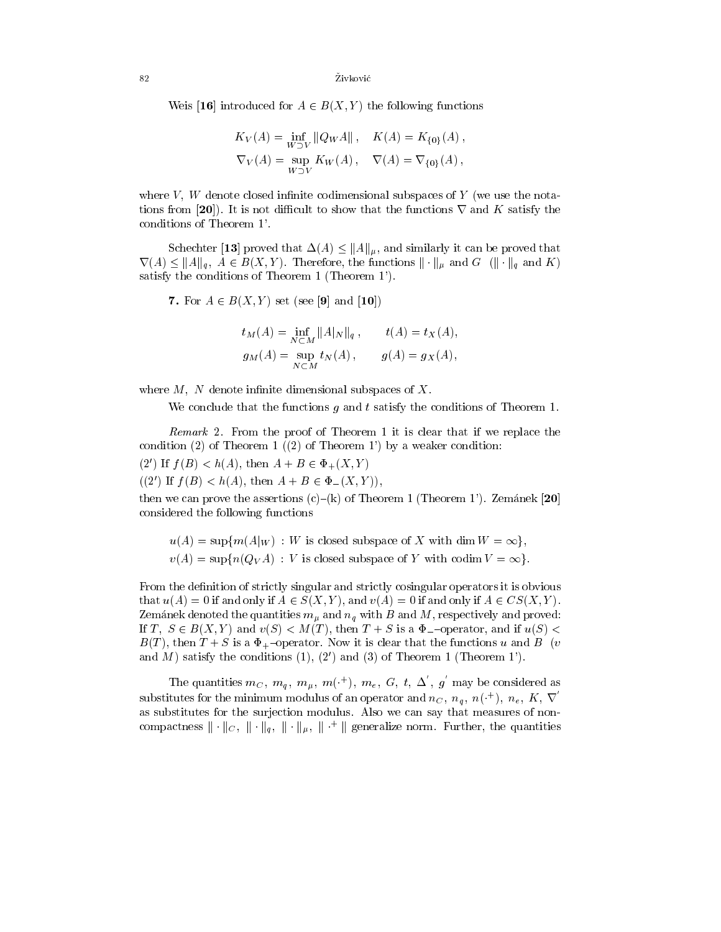Weis [16] introduced for  $A \in B(X, Y)$  the following functions

$$
K_V(A) = \inf_{W \supset V} ||Q_W A||, \quad K(A) = K_{\{0\}}(A),
$$
  

$$
\nabla_V(A) = \sup_{W \supset V} K_W(A), \quad \nabla(A) = \nabla_{\{0\}}(A),
$$

where  $V$ ,  $W$  denote closed infinite codimensional subspaces of  $Y$  (we use the notations from [20]). It is not difficult to show that the functions  $\nabla$  and K satisfy the conditions of Theorem 1'.

Schechter [13] proved that  $\Delta(A) \leq ||A||_{\mu}$ , and similarly it can be proved that  $\nabla(A) \leq ||A||_q$ ,  $A \in B(X, Y)$ . Therefore, the functions  $|| \cdot ||_{\mu}$  and  $G$  ( $|| \cdot ||_{q}$  and K) satisfy the conditions of Theorem 1 (Theorem 1').

7. For  $A \in B(X, Y)$  set (see [9] and [10])

$$
t_M(A) = \inf_{N \subset M} ||A|_N ||_q, \t t(A) = t_X(A),
$$
  
\n
$$
g_M(A) = \sup_{N \subset M} t_N(A), \t g(A) = g_X(A),
$$

where  $M$ , N denote infinite dimensional subspaces of  $X$ .

We conclude that the functions  $g$  and  $t$  satisfy the conditions of Theorem 1.

Remark 2.From the proof of Theorem 1 it is clear that if we replace the condition (2) of Theorem 1  $(2)$  of Theorem 1') by a weaker condition:

(2') If  $f(B) < h(A)$ , then  $A + B \in \Phi_+(X, Y)$ 

 $((2')$  If  $f(B) < h(A)$ , then  $A + B \in \Phi_-(X, Y)$ ,

then we can prove the assertions  $(c)$ – $(k)$  of Theorem 1 (Theorem 1'). Zemánek [20] considered the following functions

 $u(A) = \sup \{m(A|_W) : W \text{ is closed subspace of } X \text{ with } \dim W = \infty\},\$  $v(A) = \sup \{n(Q_V A) : V \text{ is closed subspace of } Y \text{ with } \text{codim } V = \infty \}.$ 

From the definition of strictly singular and strictly cosingular operators it is obvious that  $u(A) = 0$  if and only if  $A \in S(X, Y)$ , and  $v(A) = 0$  if and only if  $A \in CS(X, Y)$ . Zemanek denoted the quantities  $m_{\mu}$  and  $n_{q}$  with B and M, respectively and proved: If T,  $S \in B(X, Y)$  and  $v(S) < M(T)$ , then  $T + S$  is a  $\Phi$ -operator, and if  $u(S)$  <  $B(T)$ , then  $T + S$  is a  $\Phi_{+}$ -operator. Now it is clear that the functions u and B (v and M) satisfy the conditions  $(1)$ ,  $(2')$  and  $(3)$  of Theorem 1 (Theorem 1').

The quantities  $m_C, m_q, m_u, m^{(+)}$ ,  $m_e, G, t, \Delta, g$  may be considered as substitutes for the minimum modulus of an operator and  $n_C, n_q, n^{(+)}$ ,  $n_e, K, \nabla$ as substitutes for the surjection modulus. Also we can say that measures of noncompactness  $\|\cdot\|_C$ ,  $\|\cdot\|_a$ ,  $\|\cdot\|_u$ ,  $\|\cdot\|$  generalize norm. Further, the quantities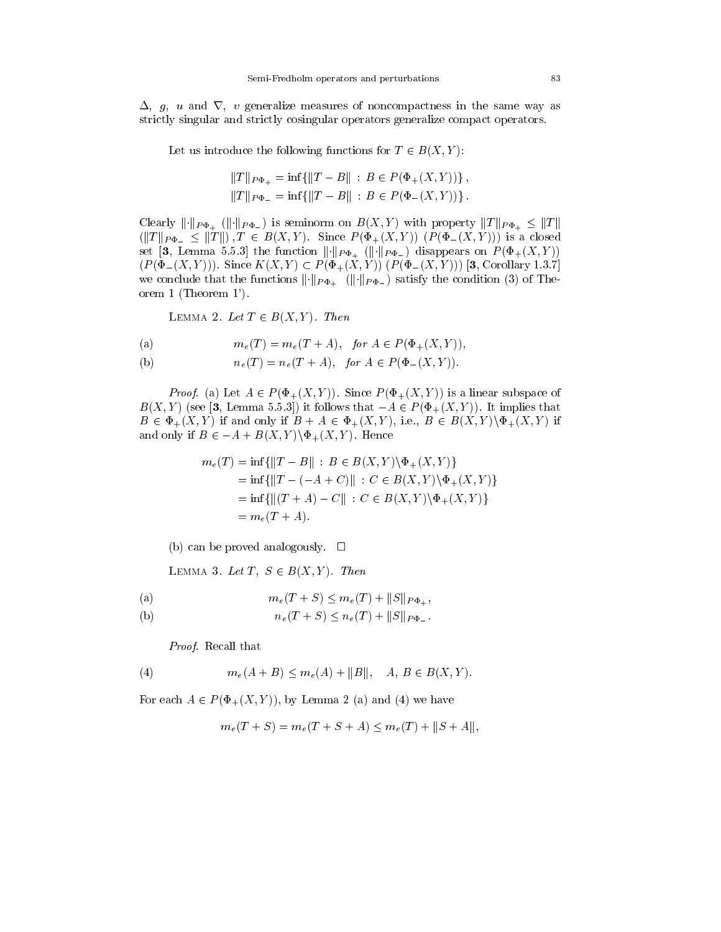$\Delta$ , g, u and  $\nabla$ , v generalize measures of noncompactness in the same way as strictly singular and strictly cosingular operators generalize compact operators.

Let us introduce the following functions for  $T \in B(X, Y)$ :

$$
||T||_{P\Phi_+} = \inf \{ ||T - B|| : B \in P(\Phi_+(X, Y)) \},
$$
  

$$
||T||_{P\Phi_-} = \inf \{ ||T - B|| : B \in P(\Phi_-(X, Y)) \}.
$$

Clearly  $\|\cdot\|_{P\Phi_+}$  ( $\|\cdot\|_{P\Phi_-}$ ) is seminorm on  $B(X, Y)$  with property  $\|T\|_{P\Phi_+} \leq \|T\|$ ( $\frac{1}{2}$   $\frac{1}{2}$   $\frac{1}{2}$   $\frac{1}{2}$   $\frac{1}{2}$   $\frac{1}{2}$  ).  $\frac{1}{2}$   $\frac{1}{2}$   $\frac{1}{2}$   $\frac{1}{2}$   $\frac{1}{2}$   $\frac{1}{2}$   $\frac{1}{2}$   $\frac{1}{2}$   $\frac{1}{2}$   $\frac{1}{2}$   $\frac{1}{2}$   $\frac{1}{2}$   $\frac{1}{2}$   $\frac{1}{2}$   $\frac{1}{2}$   $\frac{1}{2$ set [3, Lemma 5.5.3] the function  $\lVert \cdot \rVert_{P\Phi_+}$  ( $\lVert \cdot \rVert_{P\Phi_-}$ ) disappears on  $P(\Phi_+(X,Y))$  $(P(\Phi_{-}(X,Y)))$ . Since  $K(X,Y) \subset P(\Phi_{+}(X,Y))$   $(P(\Phi_{-}(X,Y)))$  [3, Corollary 1.3.7] we conclude that the functions  $\|\cdot\|_{P\Phi_+}$  ( $\|\cdot\|_{P\Phi_-}$ ) satisfy the condition (3) of Theorem 1 (Theorem 1').

LEMMA 2. Let  $T \in B(X, Y)$ . Then

(a) 
$$
m_e(T) = m_e(T + A), \text{ for } A \in P(\Phi_+(X, Y)),
$$

(b) 
$$
n_e(T) = n_e(T + A), \text{ for } A \in P(\Phi_-(X, Y)).
$$

Proof. (a) Let A <sup>2</sup> P (+(X; Y )). Since P (+(X; Y )) is a linear subspace of  $B(X,Y)$  (see [3, Lemma 5.5.3]) it follows that  $-A \in P(\Phi_+(X,Y))$ . It implies that  $B \in \Phi_+(X,Y)$  if and only if  $B + A \in \Phi_+(X,Y)$ , i.e.,  $B \in B(X,Y) \backslash \Phi_+(X,Y)$  if and only if  $B \in -A + B(X, Y) \backslash \Phi_+(X, Y)$ . Hence

$$
m_e(T) = \inf \{ ||T - B|| : B \in B(X, Y) \setminus \Phi_+(X, Y) \}
$$
  
=  $\inf \{ ||T - (-A + C)|| : C \in B(X, Y) \setminus \Phi_+(X, Y) \}$   
=  $\inf \{ ||(T + A) - C|| : C \in B(X, Y) \setminus \Phi_+(X, Y) \}$   
=  $m_e(T + A).$ 

(b) can be proved analogously.  $\square$ 

LEMMA 3. Let T,  $S \in B(X, Y)$ . Then

(a) 
$$
m_e(T + S) \leq m_e(T) + ||S||_{P\Phi_+},
$$

(b)  $n_e(T + S) \leq n_e(T) + ||S||_{P\Phi}$ .

Proof. Recall that

(4) 
$$
m_e(A+B) \leq m_e(A) + ||B||, \quad A, B \in B(X,Y).
$$

For each  $A \in P(\Phi_+(X, Y))$ , by Lemma 2 (a) and (4) we have

$$
m_e(T + S) = m_e(T + S + A) \le m_e(T) + ||S + A||,
$$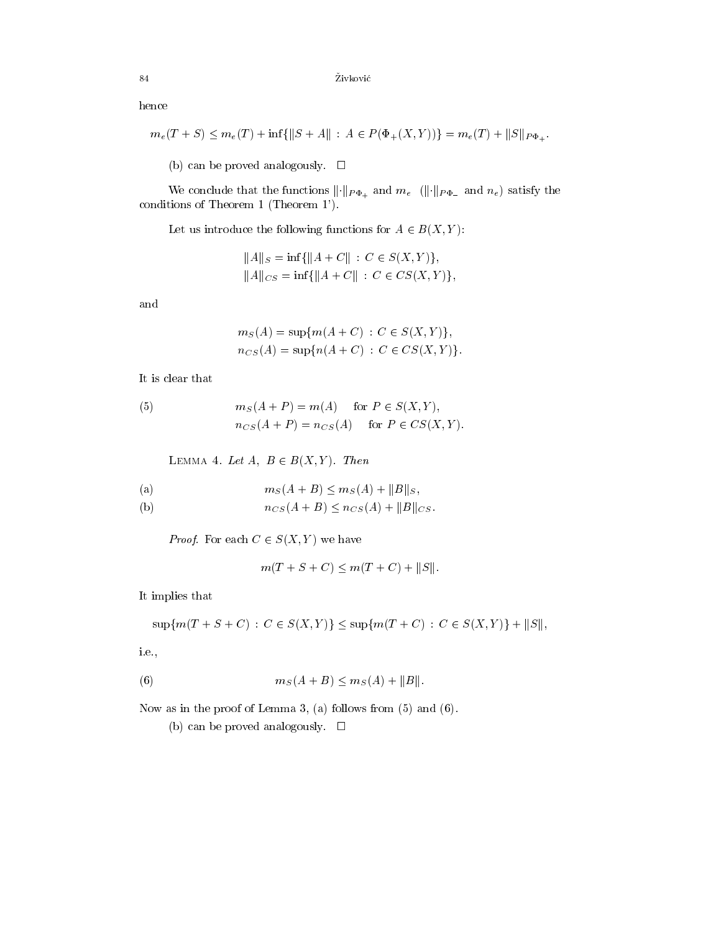hence

$$
m_e(T+S) \leq m_e(T) + \inf\{||S+A|| : A \in P(\Phi_+(X,Y))\} = m_e(T) + ||S||_{P\Phi_+}.
$$

(b) can be proved analogously.  $\Box$ 

We conclude that the functions  $\lVert \cdot \rVert_{P\Phi_+}$  and  $m_e$  ( $\lVert \cdot \rVert_{P\Phi_-}$  and  $n_e$ ) satisfy the conditions of Theorem 1 (Theorem 1').

Let us introduce the following functions for  $A \in B(X, Y)$ :

$$
||A||_S = \inf \{ ||A + C|| : C \in S(X, Y) \},
$$
  

$$
||A||_{CS} = \inf \{ ||A + C|| : C \in CS(X, Y) \},
$$

and

$$
m_S(A) = \sup \{ m(A + C) : C \in S(X, Y) \},
$$
  
\n
$$
n_{CS}(A) = \sup \{ n(A + C) : C \in CS(X, Y) \}.
$$

It is clear that

(5) 
$$
m_S(A + P) = m(A) \text{ for } P \in S(X, Y),
$$

$$
n_{CS}(A + P) = n_{CS}(A) \text{ for } P \in CS(X, Y).
$$

LEMMA 4. Let  $A, B \in B(X, Y)$ . Then

(a) 
$$
m_S(A+B) \leq m_S(A) + ||B||_S,
$$

(b) 
$$
n_{CS}(A+B) \le n_{CS}(A) + ||B||_{CS}.
$$

Proof. For each C <sup>2</sup> S(X; Y ) we have

$$
m(T + S + C) \le m(T + C) + ||S||.
$$

It implies that

$$
\sup\{m(T+S+C): C \in S(X,Y)\} \le \sup\{m(T+C): C \in S(X,Y)\} + ||S||,
$$

i.e.,

(6) 
$$
m_S(A + B) \leq m_S(A) + ||B||
$$
.

Now as in the proof of Lemma 3, (a) follows from (5) and (6).

(b) can be proved analogously.  $\square$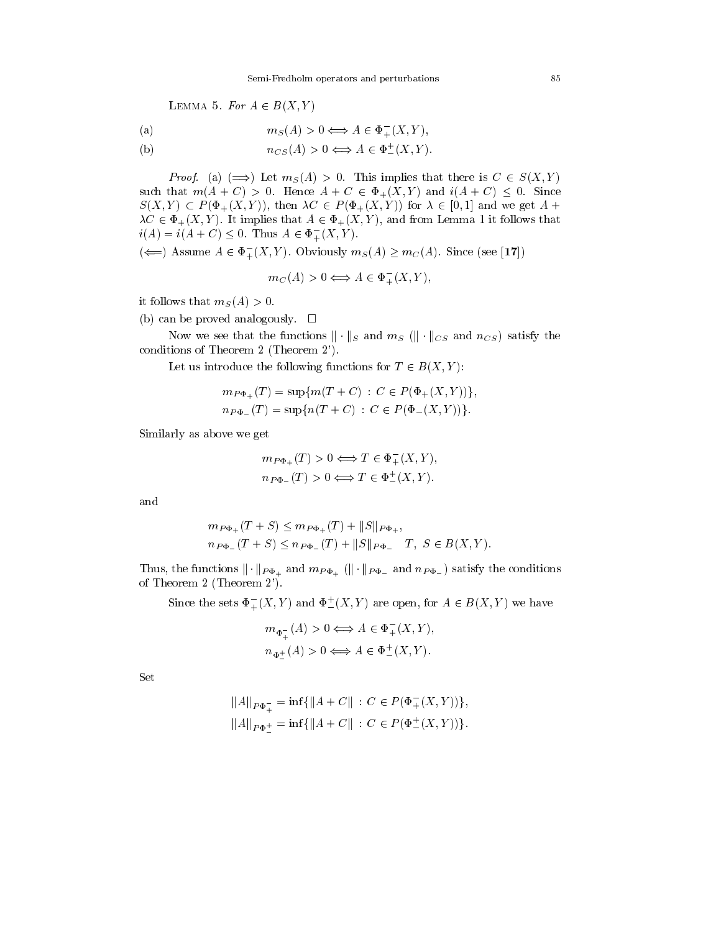LEMMA 5. For  $A \in B(X, Y)$ 

(a) 
$$
m_S(A) > 0 \Longleftrightarrow A \in \Phi_+^-(X, Y)
$$
,

 $n_{CS}(A) > 0 \Longleftrightarrow A \in \Psi_{-}(A, Y).$ (b)

 $P(S_i) = \{x_i \mid x_j \in S \mid \text{for } i \in \mathbb{N}\}$  is  $\{x_i \mid x_j \in S \}$ such that  $m(A+C) > 0$ . Hence  $A+C \in \Phi_+(X,Y)$  and  $i(A+C) < 0$ . Since  $S(X,Y) \subset P(\Phi_+(X,Y)),$  then  $\lambda C \in P(\Phi_+(X,Y))$  for  $\lambda \in [0,1]$  and we get  $A +$  $\lambda C \in \Phi_+(X, Y)$ . It implies that  $A \in \Phi_+(X, Y)$ , and from Lemma 1 it follows that  $i(A) = i(A+C) \leq 0$ . Thus  $A \in \Phi_{+}(X, Y)$ .

 $(\Leftarrow)$  Assume  $A \in \Phi_+^-(X, Y)$ . Obviously  $m_S(A) \geq m_C(A)$ . Since (see [17])

$$
m_C(A) > 0 \Longleftrightarrow A \in \Phi_+^-(X, Y),
$$

it follows that  $m<sub>S</sub>(A) > 0$ .

(b) can be proved analogously.  $\square$ 

Now we see that the functions  $\|\cdot\|_S$  and  $m_S$  ( $\|\cdot\|_{CS}$  and  $n_{CS}$ ) satisfy the conditions of Theorem 2 (Theorem 2').

Let us introduce the following functions for  $T \in B(X, Y)$ :

$$
m_{P\Phi_+}(T) = \sup \{ m(T + C) : C \in P(\Phi_+(X, Y)) \},
$$
  
\n
$$
n_{P\Phi_-}(T) = \sup \{ n(T + C) : C \in P(\Phi_-(X, Y)) \}.
$$

Similarly as above we get

$$
m_{P\Phi_+}(T) > 0 \Longleftrightarrow T \in \Phi_+^-(X, Y),
$$
  

$$
n_{P\Phi_-}(T) > 0 \Longleftrightarrow T \in \Phi_-^+(X, Y).
$$

and

$$
m_{P\Phi_+}(T+S) \le m_{P\Phi_+}(T) + ||S||_{P\Phi_+},
$$
  
\n
$$
n_{P\Phi_-}(T+S) \le n_{P\Phi_-}(T) + ||S||_{P\Phi_-} T, S \in B(X,Y).
$$

Thus, the functions  $\|\cdot\|_{P\Phi_+}$  and  $m_{P\Phi_+}$  ( $\|\cdot\|_{P\Phi_-}$  and  $n_{P\Phi_-}$ ) satisfy the conditions of Theorem 2 (Theorem 2').

Since the sets  $\Phi_{+}^{-}(X,Y)$  and  $\Phi_{-}^{-}(X,Y)$  are open, for  $A \in B(X,Y)$  we have

$$
m_{\Phi_+^+}(A) > 0 \Longleftrightarrow A \in \Phi_+^-(X, Y),
$$
  

$$
n_{\Phi_-^+}(A) > 0 \Longleftrightarrow A \in \Phi_-^+(X, Y).
$$

Set

$$
||A||_{P\Phi_+^-} = \inf \{ ||A + C|| : C \in P(\Phi_+^-(X, Y)) \},
$$
  

$$
||A||_{P\Phi_-^+} = \inf \{ ||A + C|| : C \in P(\Phi_+^+(X, Y)) \}.
$$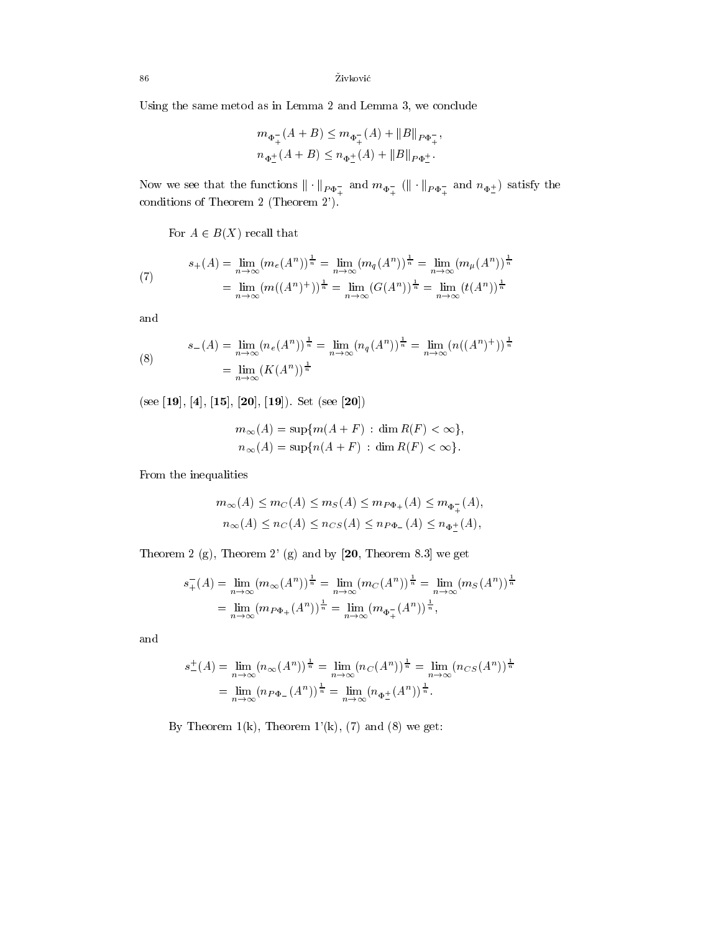86  $\check{\mathrm{Zivkovi}}$ ć

Using the same metod as in Lemma 2 and Lemma 3, we conclude

$$
m_{\Phi_+^+}(A+B) \le m_{\Phi_+^+}(A) + ||B||_{P\Phi_+^-},
$$
  

$$
n_{\Phi_-^+}(A+B) \le n_{\Phi_-^+}(A) + ||B||_{P\Phi_-^+}.
$$

 $\frac{1}{2}$  and  $\frac{1}{2}$   $\frac{1}{2}$   $\frac{1}{2}$   $\frac{1}{2}$   $\frac{1}{2}$   $\frac{1}{2}$   $\frac{1}{2}$   $\frac{1}{2}$   $\frac{1}{2}$   $\frac{1}{2}$   $\frac{1}{2}$   $\frac{1}{2}$   $\frac{1}{2}$   $\frac{1}{2}$   $\frac{1}{2}$   $\frac{1}{2}$   $\frac{1}{2}$   $\frac{1}{2}$   $\frac{1}{2}$   $\frac{1}{2}$   $\frac{1}{2$ 

For  $A \in B(X)$  recall that

(7) 
$$
s_{+}(A) = \lim_{n \to \infty} (m_{e}(A^{n}))^{\frac{1}{n}} = \lim_{n \to \infty} (m_{q}(A^{n}))^{\frac{1}{n}} = \lim_{n \to \infty} (m_{\mu}(A^{n}))^{\frac{1}{n}}
$$

$$
= \lim_{n \to \infty} (m((A^{n})^{+}))^{\frac{1}{n}} = \lim_{n \to \infty} (G(A^{n}))^{\frac{1}{n}} = \lim_{n \to \infty} (t(A^{n}))^{\frac{1}{n}}
$$

and

(8) 
$$
s_{-}(A) = \lim_{n \to \infty} (n_e(A^n))^{\frac{1}{n}} = \lim_{n \to \infty} (n_q(A^n))^{\frac{1}{n}} = \lim_{n \to \infty} (n((A^n)^+))^{\frac{1}{n}}
$$

$$
= \lim_{n \to \infty} (K(A^n))^{\frac{1}{n}}
$$

(see [19], [4], [15], [20], [19]). Set (see [20])

$$
m_{\infty}(A) = \sup \{ m(A + F) : \dim R(F) < \infty \},
$$
  

$$
n_{\infty}(A) = \sup \{ n(A + F) : \dim R(F) < \infty \}.
$$

From the inequalities

$$
m_{\infty}(A) \le m_C(A) \le m_S(A) \le m_{P\Phi_+}(A) \le m_{\Phi_+^-(A)},
$$
  

$$
n_{\infty}(A) \le n_C(A) \le n_{CS}(A) \le n_{P\Phi_-}(A) \le n_{\Phi_-^+(A)},
$$

Theorem 2  $(g)$ , Theorem 2'  $(g)$  and by  $[20,$  Theorem 8.3] we get

$$
s_{+}^{-}(A) = \lim_{n \to \infty} (m_{\infty}(A^{n}))^{\frac{1}{n}} = \lim_{n \to \infty} (m_{C}(A^{n}))^{\frac{1}{n}} = \lim_{n \to \infty} (m_{S}(A^{n}))^{\frac{1}{n}}
$$
  
= 
$$
\lim_{n \to \infty} (m_{P\Phi_{+}}(A^{n}))^{\frac{1}{n}} = \lim_{n \to \infty} (m_{\Phi_{+}^{-}}(A^{n}))^{\frac{1}{n}},
$$

and

$$
s_{-}^{+}(A) = \lim_{n \to \infty} (n_{\infty}(A^{n}))^{\frac{1}{n}} = \lim_{n \to \infty} (n_{C}(A^{n}))^{\frac{1}{n}} = \lim_{n \to \infty} (n_{CS}(A^{n}))^{\frac{1}{n}}
$$
  
= 
$$
\lim_{n \to \infty} (n_{P\Phi_{-}}(A^{n}))^{\frac{1}{n}} = \lim_{n \to \infty} (n_{\Phi_{-}^{+}}(A^{n}))^{\frac{1}{n}}.
$$

By Theorem  $1(k)$ , Theorem  $1'(k)$ , (7) and (8) we get: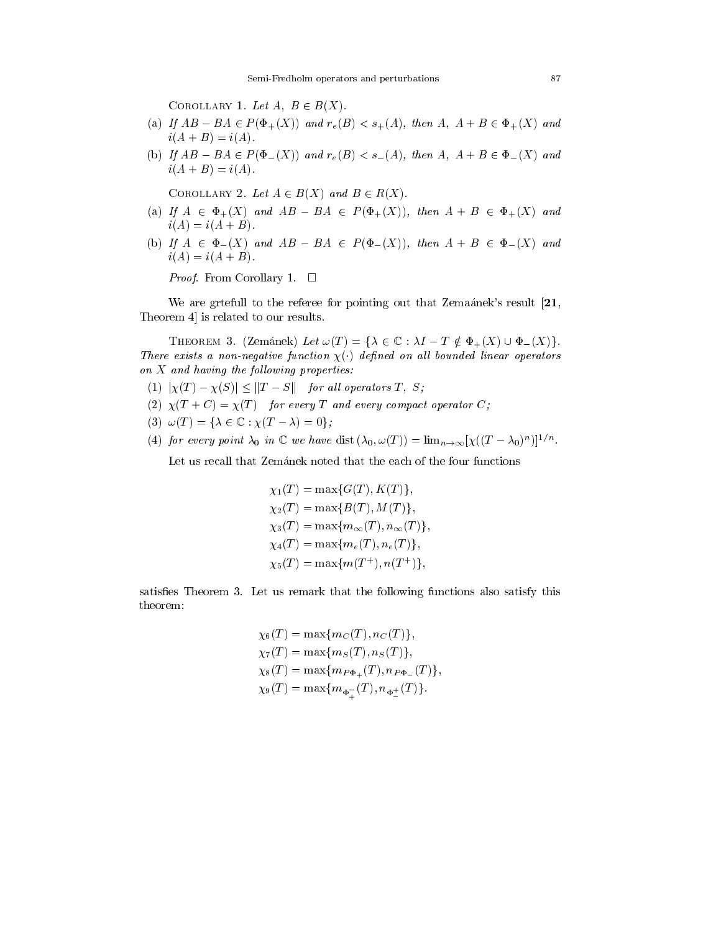COROLLARY 1. Let  $A, B \in B(X)$ .

- (a) If  $AB BA \in P(\Phi_+(X))$  and  $r_e(B) < s_+(A)$ , then  $A, A + B \in \Phi_+(X)$  and  $i(A + B) = i(A)$ .
- (b) If  $AB BA \in P(\Phi_-(X))$  and  $r_e(B) < s_-(A)$ , then  $A, A + B \in \Phi_-(X)$  and  $i(A + B) = i(A)$ .

COROLLARY 2. Let  $A \in B(X)$  and  $B \in R(X)$ .

- (a) If  $A \in \Phi_+(X)$  and  $AB BA \in P(\Phi_+(X))$ , then  $A + B \in \Phi_+(X)$  and  $i(A) = i(A + B)$ .
- (b) If  $A \in \Phi_-(X)$  and  $AB BA \in P(\Phi_-(X))$ , then  $A + B \in \Phi_-(X)$  and  $i(A) = i(A + B)$ .

Proof. From Corollary 1.

We are griefull to the referee for pointing out that Zemaanek's result  $[21,$ Theorem 4] is related to our results.

THEOREM 3. (Zemánek) Let  $\omega(T) = {\lambda \in \mathbb{C} : \lambda I - T \notin \Phi_+(X) \cup \Phi_-(X)}.$ There exists a non-negative function  $\chi(\cdot)$  actinea on all bounded linear operators on X and having the fol lowing properties:

- (1)  $|\chi(T) \chi(S)| \leq ||T S||$  for all operators T, S;
- (2)  $\chi(T+C) = \chi(T)$  for every T and every compact operator C;
- (3)  $\omega(T) = {\lambda \in \mathbb{C} : \chi(T \lambda) = 0};$
- (4) for every point  $\lambda_0$  in  $\mathbb{C}$  we have dist  $(\lambda_0, \omega(1)) = \lim_{n \to \infty} |\chi((1 \lambda_0)^n)|^{-n}$ .

Let us recall that Zemanek noted that the each of the four functions

$$
\chi_1(T) = \max\{G(T), K(T)\},
$$
  
\n
$$
\chi_2(T) = \max\{B(T), M(T)\},
$$
  
\n
$$
\chi_3(T) = \max\{m_{\infty}(T), n_{\infty}(T)\},
$$
  
\n
$$
\chi_4(T) = \max\{m_e(T), n_e(T)\},
$$
  
\n
$$
\chi_5(T) = \max\{m(T^+), n(T^+)\},
$$

satisfies Theorem 3. Let us remark that the following functions also satisfy this theorem:

$$
\chi_6(T) = \max\{m_C(T), n_C(T)\},
$$
  
\n
$$
\chi_7(T) = \max\{m_S(T), n_S(T)\},
$$
  
\n
$$
\chi_8(T) = \max\{m_{P\Phi_+}(T), n_{P\Phi_-}(T)\},
$$
  
\n
$$
\chi_9(T) = \max\{m_{\Phi_+^-(T)}, n_{\Phi_+^+(T)}\}.
$$

<sup>+</sup>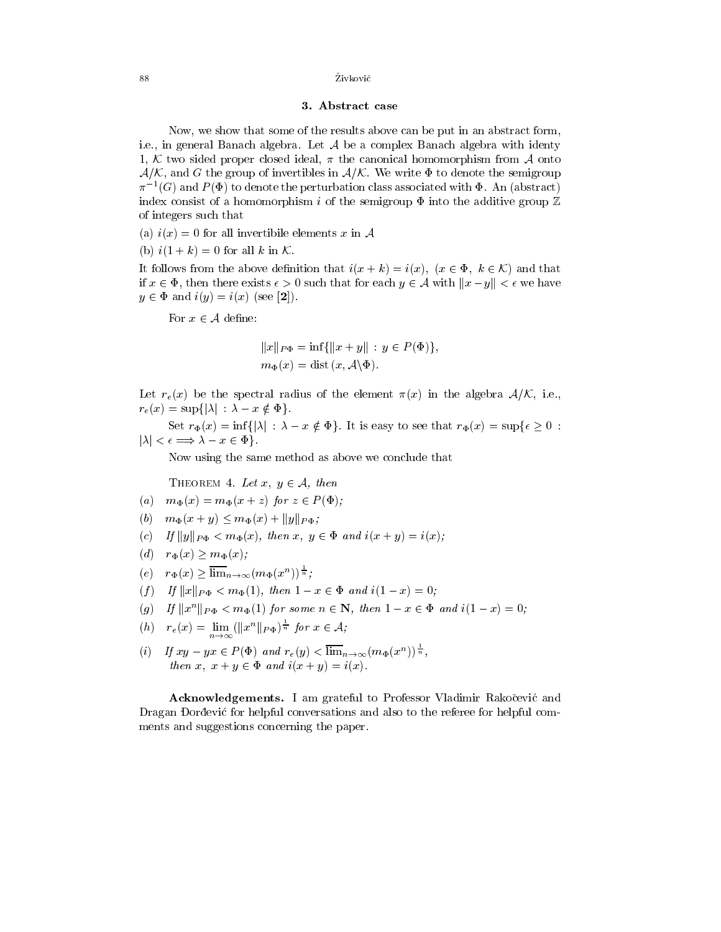## 3. Abstract case

Now, we show that some of the results above can be put in an abstract form, i.e., in general Banach algebra. Let  $\mathcal A$  be a complex Banach algebra with identy 1, K two sided proper closed ideal,  $\pi$  the canonical homomorphism from A onto  $A/K$ , and G the group of invertibles in  $A/K$ . We write  $\Phi$  to denote the semigroup  $\pi^{-1}(G)$  and  $P(\Phi)$  to denote the perturbation class associated with  $\Phi$ . An (abstract) index consist of a homomorphism i of the semigroup  $\Phi$  into the additive group  $\mathbb Z$ of integers such that

- (a)  $i(x) = 0$  for all invertibile elements x in A
- (b)  $i(1 + k) = 0$  for all k in K.

It follows from the above definition that  $i(x + k) = i(x)$ ,  $(x \in \Phi, k \in \mathcal{K})$  and that if  $x \in \Phi$ , then there exists  $\epsilon > 0$  such that for each  $y \in \mathcal{A}$  with  $||x - y|| < \epsilon$  we have  $y \in \Phi$  and  $i(y) = i(x)$  (see [2]).

For  $x \in \mathcal{A}$  define:

$$
||x||_{P\Phi} = \inf \{ ||x + y|| : y \in P(\Phi) \},
$$
  

$$
m_{\Phi}(x) = \text{dist}(x, \mathcal{A} \setminus \Phi).
$$

Let  $r_e(x)$  be the spectral radius of the element  $\pi(x)$  in the algebra  $\mathcal{A}/\mathcal{K}$ , i.e.,  $r_e(x) = \sup\{|\lambda| : \lambda - x \notin \Phi\}.$ 

Set  $r_{\Phi}(x) = \inf\{|\lambda| : \lambda - x \notin \Phi\}$ . It is easy to see that  $r_{\Phi}(x) = \sup\{\epsilon \geq 0 :$  $|\lambda| < \epsilon \Longrightarrow \lambda - x \in \Phi$ .

Now using the same method as above we conclude that

THEOREM 4. Let  $x, y \in A$ , then

- (a)  $m_{\Phi}(x) = m_{\Phi}(x + z)$  for  $z \in P(\Phi)$ ;
- (b)  $m_{\Phi}(x + y) \leq m_{\Phi}(x) + ||y||_{P\Phi}$ ;
- (c) If  $||y||_{P\Phi} < m_{\Phi}(x)$ , then  $x, y \in \Phi$  and  $i(x + y) = i(x)$ ;
- (d)  $r_{\Phi}(x) \geq m_{\Phi}(x);$
- $(e)$   $r_{\Phi}(x) > \lim_{n \to \infty} (m_{\Phi}(x^n))^{\frac{1}{n}};$
- (f) If  $||x||_{P\Phi} < m_{\Phi}(1)$ , then  $1 x \in \Phi$  and  $i(1 x) = 0$ ;
- (g) If  $||x^n||_{P\Phi} < m_{\Phi}(1)$  for some  $n \in \mathbb{N}$ , then  $1 x \in \Phi$  and  $i(1 x) = 0$ ;
- $h(n)$   $r_e(x) = \lim_{n \to \infty} (\|x^n\|_{P\Phi})^{\frac{1}{n}}$  for  $x \in \mathcal{A}$ ;
- (i) If  $xy yx \in P(\Phi)$  and  $r_e(y) < \lim_{n \to \infty} (m_\Phi(x^n))^{\frac{1}{n}}$ , then  $\alpha$  is the  $\alpha$  and  $\alpha$  and if  $\alpha$  is the internal internal internal internal internal internal internal internal internal internal internal internal internal internal internal internal internal internal internal

Acknowledgements. I am grateful to Professor Vladimir Rakočević and Dragan Dorđević for helpful conversations and also to the referee for helpful comments and suggestions concerning the paper.